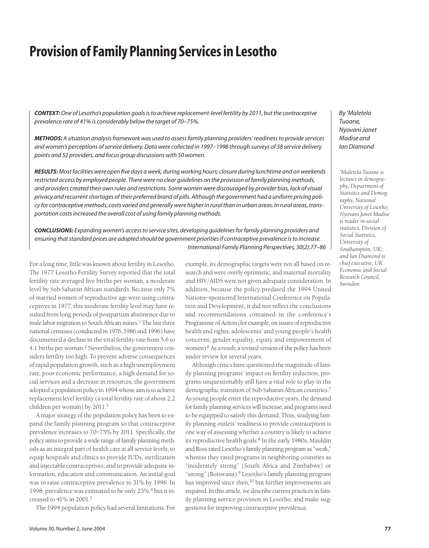# **Provision of Family Planning Services in Lesotho**

*CONTEXT: One of Lesotho's population goals is to achieve replacement-level fertility by 2011, but the contraceptive prevalence rate of 41% is considerably below the target of 70–75%.*

*METHODS: A situation analysis framework was used to assess family planning providers' readiness to provide services and women's perceptions of service delivery. Data were collected in 1997–1998 through surveys of 38 service delivery points and 52 providers, and focus group discussions with 50 women.*

*RESULTS:Most facilities were open five days a week, during working hours; closure during lunchtime and on weekends restricted access by employed people. There were no clear guidelines on the provision of family planning methods, and providers created their own rules and restrictions. Some women were discouraged by provider bias, lack of visual privacy and recurrent shortages of their preferred brand of pills. Although the government had a uniform pricing policy for contraceptive methods, costs varied and generally were higher in rural than in urban areas. In rural areas, transportation costs increased the overall cost of using family planning methods.*

*CONCLUSIONS: Expanding women's access to service sites, developing guidelines for family planning providers and ensuring that standard prices are adopted should be government priorities if contraceptive prevalence is to increase. International Family Planning Perspectives, 30(2):77–86*

For a long time, little was known about fertility in Lesotho. The 1977 Lesotho Fertility Survey reported that the total fertility rate averaged five births per woman, a moderate level by Sub-Saharan African standards. Because only 7% of married women of reproductive age were using contraceptives in 1977, this moderate fertility level may have resulted from long periods of postpartum abstinence due to male labor migration to South African mines.<sup>1</sup> The last three national censuses (conducted in 1976, 1986 and 1996) have documented a decline in the total fertility rate from 5.6 to 4.1 births per woman.2 Nevertheless, the government considers fertility too high. To prevent adverse consequences of rapid population growth, such as a high unemployment rate, poor economic performance, a high demand for social services and a decrease in resources, the government adopted a population policy in 1994 whose aim is to achieve replacement-level fertility (a total fertility rate of about 2.2 children per woman) by 2011.3

A major strategy of the population policy has been to expand the family planning program so that contraceptive prevalence increases to 70–75% by 2011. Specifically, the policy aims to provide a wide range of family planning methods as an integral part of health care at all service levels; to equip hospitals and clinics to provide IUDs, sterilization and injectable contraceptives; and to provide adequate information, education and communication. An initial goal was to raise contraceptive prevalence to 31% by 1996. In 1998, prevalence was estimated to be only  $23\%$ ,  $4$  but it increased to 41% in 2001.5

The 1994 population policy had several limitations. For

example, its demographic targets were not all based on research and were overly optimistic, and maternal mortality and HIV/AIDS were not given adequate consideration. In addition, because the policy predated the 1994 United Nations–sponsored International Conference on Population and Development, it did not reflect the conclusions and recommendations contained in the conference's Programme of Action (for example, on issues of reproductive health and rights, adolescents' and young people's health concerns, gender equality, equity and empowerment of women).<sup>6</sup> As a result, a revised version of the policy has been under review for several years.

Although critics have questioned the magnitude of family planning programs' impact on fertility reduction, programs unquestionably still have a vital role to play in the demographic transition of Sub-Saharan African countries.7 As young people enter the reproductive years, the demand for family planning services will increase, and programs need to be equipped to satisfy this demand. Thus, studying family planning outlets' readiness to provide contraception is one way of assessing whether a country is likely to achieve its reproductive health goals.8 In the early 1980s, Mauldin and Ross rated Lesotho's family planning program as "weak," whereas they rated programs in neighboring countries as "moderately strong" (South Africa and Zimbabwe) or "strong" (Botswana).9 Lesotho's family planning program has improved since then,<sup>10</sup> but further improvements are required. In this article, we describe current practices in family planning service provision in Lesotho, and make suggestions for improving contraceptive prevalence.

*By 'Maletela Tuoane, Nyovani Janet Madise and Ian Diamond*

*'Maletela Tuoane is lecturer in demography, Department of Statistics and Demography, National University of Lesotho; Nyovani Janet Madise is reader in social statistics, Division of Social Statistics, University of Southampton, UK; and Ian Diamond is chief executive, UK Economic and Social Research Council, Swindon.*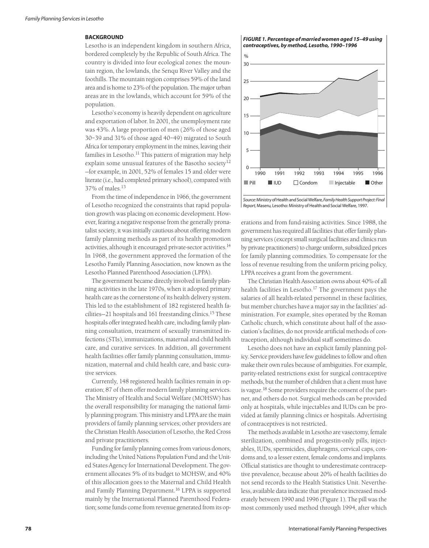#### **BACKGROUND**

Lesotho is an independent kingdom in southern Africa, bordered completely by the Republic of South Africa. The country is divided into four ecological zones: the mountain region, the lowlands, the Senqu River Valley and the foothills. The mountain region comprises 59% of the land area and is home to 23% of the population. The major urban areas are in the lowlands, which account for 59% of the population.

Lesotho's economy is heavily dependent on agriculture and exportation of labor. In 2001, the unemployment rate was 43%. A large proportion of men (26% of those aged 30–39 and 31% of those aged 40–49) migrated to South Africa for temporary employment in the mines, leaving their families in Lesotho.<sup>11</sup> This pattern of migration may help explain some unusual features of the Basotho society<sup>12</sup> —for example, in 2001, 52% of females 15 and older were literate (i.e., had completed primary school), compared with 37% of males.13

From the time of independence in 1966, the government of Lesotho recognized the constraints that rapid population growth was placing on economic development. However, fearing a negative response from the generally pronatalist society, it was initially cautious about offering modern family planning methods as part of its health promotion activities, although it encouraged private-sector activities.14 In 1968, the government approved the formation of the Lesotho Family Planning Association, now known as the Lesotho Planned Parenthood Association (LPPA).

The government became directly involved in family planning activities in the late 1970s, when it adopted primary health care as the cornerstone of its health delivery system. This led to the establishment of 182 registered health facilities—21 hospitals and 161 freestanding clinics.15 These hospitals offer integrated health care, including family planning consultation, treatment of sexually transmitted infections (STIs), immunizations, maternal and child health care, and curative services. In addition, all government health facilities offer family planning consultation, immunization, maternal and child health care, and basic curative services.

Currently, 148 registered health facilities remain in operation; 87 of them offer modern family planning services. The Ministry of Health and Social Welfare (MOHSW) has the overall responsibility for managing the national family planning program. This ministry and LPPA are the main providers of family planning services; other providers are the Christian Health Association of Lesotho, the Red Cross and private practitioners.

Funding for family planning comes from various donors, including the United Nations Population Fund and the United States Agency for International Development. The government allocates 5% of its budget to MOHSW, and 40% of this allocation goes to the Maternal and Child Health and Family Planning Department.<sup>16</sup> LPPA is supported mainly by the International Planned Parenthood Federation; some funds come from revenue generated from its op-

*FIGURE 1. Percentage of married women aged 15–49 using contraceptives, by method, Lesotho, 1990–1996*



*Source:*Ministry of Health and Social Welfare,*Family Health Support Project: Final Report,* Maseru, Lesotho: Ministry of Health and Social Welfare, 1997.

erations and from fund-raising activities. Since 1988, the government has required all facilities that offer family planning services (except small surgical facilities and clinics run by private practitioners) to charge uniform, subsidized prices for family planning commodities. To compensate for the loss of revenue resulting from the uniform pricing policy, LPPA receives a grant from the government.

The Christian Health Association owns about 40% of all health facilities in Lesotho.<sup>17</sup> The government pays the salaries of all health-related personnel in these facilities, but member churches have a major say in the facilities' administration. For example, sites operated by the Roman Catholic church, which constitute about half of the association's facilities, do not provide artificial methods of contraception, although individual staff sometimes do.

Lesotho does not have an explicit family planning policy. Service providers have few guidelines to follow and often make their own rules because of ambiguities. For example, parity-related restrictions exist for surgical contraceptive methods, but the number of children that a client must have is vague.18 Some providers require the consent of the partner, and others do not. Surgical methods can be provided only at hospitals, while injectables and IUDs can be provided at family planning clinics or hospitals. Advertising of contraceptives is not restricted.

The methods available in Lesotho are vasectomy, female sterilization, combined and progestin-only pills, injectables, IUDs, spermicides, diaphragms, cervical caps, condoms and, to a lesser extent, female condoms and implants. Official statistics are thought to underestimate contraceptive prevalence, because about 20% of health facilities do not send records to the Health Statistics Unit. Nevertheless, available data indicate that prevalence increased moderately between 1990 and 1996 (Figure 1). The pill was the most commonly used method through 1994, after which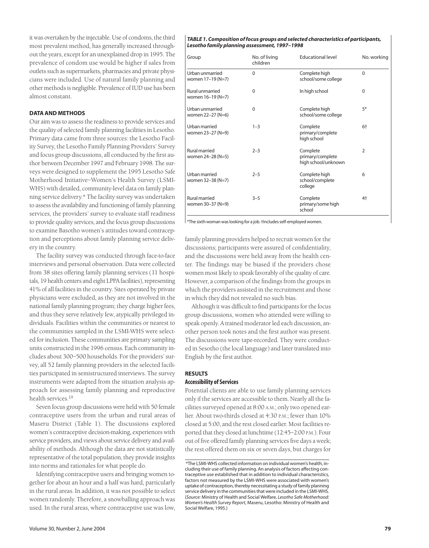it was overtaken by the injectable. Use of condoms, the third most prevalent method, has generally increased throughout the years, except for an unexplained drop in 1995. The prevalence of condom use would be higher if sales from outlets such as supermarkets, pharmacies and private physicians were included. Use of natural family planning and other methods is negligible. Prevalence of IUD use has been almost constant.

# **DATA AND METHODS**

Our aim was to assess the readiness to provide services and the quality of selected family planning facilities in Lesotho. Primary data came from three sources: the Lesotho Facility Survey, the Lesotho Family Planning Providers' Survey and focus group discussions, all conducted by the first author between December 1997 and February 1998. The surveys were designed to supplement the 1995 Lesotho Safe Motherhood Initiative–Women's Health Survey (LSMI-WHS) with detailed, community-level data on family planning service delivery.\* The facility survey was undertaken to assess the availability and functioning of family planning services, the providers' survey to evaluate staff readiness to provide quality services, and the focus group discussions to examine Basotho women's attitudes toward contraception and perceptions about family planning service delivery in the country.

The facility survey was conducted through face-to-face interviews and personal observation. Data were collected from 38 sites offering family planning services (11 hospitals, 19 health centers and eight LPPA facilities), representing 41% of all facilities in the country. Sites operated by private physicians were excluded, as they are not involved in the national family planning program; they charge higher fees, and thus they serve relatively few, atypically privileged individuals. Facilities within the communities or nearest to the communities sampled in the LSMI-WHS were selected for inclusion. These communities are primary sampling units constructed in the 1996 census. Each community includes about 300–500 households. For the providers' survey, all 52 family planning providers in the selected facilities participated in semistructured interviews. The survey instruments were adapted from the situation analysis approach for assessing family planning and reproductive health services.<sup>19</sup>

Seven focus group discussions were held with 50 female contraceptive users from the urban and rural areas of Maseru District (Table 1). The discussions explored women's contraceptive decision-making, experiences with service providers, and views about service delivery and availability of methods. Although the data are not statistically representative of the total population, they provide insights into norms and rationales for what people do.

Identifying contraceptive users and bringing women together for about an hour and a half was hard, particularly in the rural areas. In addition, it was not possible to select women randomly. Therefore, a snowballing approach was used. In the rural areas, where contraceptive use was low,

#### *TABLE 1. Composition of focus groups and selected characteristics of participants, Lesotho family planning assessment, 1997–1998*

| Group                                     | No. of living<br>children | <b>Educational level</b>                            | No. working    |
|-------------------------------------------|---------------------------|-----------------------------------------------------|----------------|
| Urban unmarried<br>women 17-19 (N=7)      | $\Omega$                  | Complete high<br>school/some college                | $\Omega$       |
| Rural unmarried<br>women 16-19 (N=7)      | $\Omega$                  | In high school                                      | $\Omega$       |
| Urban unmarried<br>women 22-27 (N=6)      | $\Omega$                  | Complete high<br>school/some college                | $5*$           |
| Urban married<br>women 23-27 (N=9)        | $1 - 3$                   | Complete<br>primary/complete<br>high school         | $6+$           |
| <b>Rural married</b><br>women 24-28 (N=5) | $2 - 3$                   | Complete<br>primary/complete<br>high school/unknown | $\overline{2}$ |
| Urban married<br>women 32-38 (N=7)        | $2 - 5$                   | Complete high<br>school/complete<br>college         | 6              |
| <b>Rural married</b><br>women 30-37 (N=9) | $3 - 5$                   | Complete<br>primary/some high<br>school             | $4+$           |

\*The sixth woman was looking for a job. †Includes self-employed women.

family planning providers helped to recruit women for the discussions; participants were assured of confidentiality, and the discussions were held away from the health center. The findings may be biased if the providers chose women most likely to speak favorably of the quality of care. However, a comparison of the findings from the groups in which the providers assisted in the recruitment and those in which they did not revealed no such bias.

Although it was difficult to find participants for the focus group discussions, women who attended were willing to speak openly. A trained moderator led each discussion, another person took notes and the first author was present. The discussions were tape-recorded. They were conducted in Sesotho (the local language) and later translated into English by the first author.

## **RESULTS Accessibility of Services**

Potential clients are able to use family planning services only if the services are accessible to them. Nearly all the facilities surveyed opened at 8:00 A.M.; only two opened earlier. About two-thirds closed at 4:30 P.M.; fewer than 10% closed at 5:00, and the rest closed earlier. Most facilities reported that they closed at lunchtime (12:45–2:00 P.M.). Four out of five offered family planning services five days a week; the rest offered them on six or seven days, but charges for

<sup>\*</sup>The LSMI-WHS collected information on individual women's health, including their use of family planning. An analysis of factors affecting contraceptive use established that in addition to individual characteristics, factors not measured by the LSMI-WHS were associated with women's uptake of contraception, thereby necessitating a study of family planning service delivery in the communities that were included in the LSMI-WHS. (*Source:* Ministry of Health and Social Welfare, *Lesotho Safe Motherhood: Women's Health Survey Report,* Maseru, Lesotho: Ministry of Health and Social Welfare, 1995.)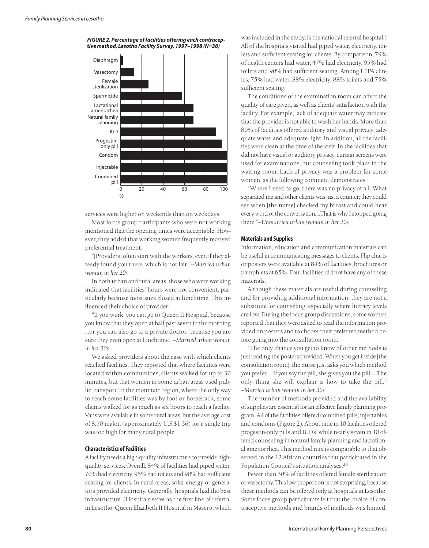

services were higher on weekends than on weekdays.

Most focus group participants who were not working mentioned that the opening times were acceptable. However, they added that working women frequently received preferential treatment:

"[Providers] often start with the workers, even if they already found you there, which is not fair."*—Married urban woman in her 20s*

In both urban and rural areas, those who were working indicated that facilities' hours were not convenient, particularly because most sites closed at lunchtime. This influenced their choice of provider:

"If you work, you can go to Queen II Hospital, because you know that they open at half past seven in the morning …or you can also go to a private doctor, because you are sure they even open at lunchtime."*—Married urban woman in her 30s*

We asked providers about the ease with which clients reached facilities. They reported that where facilities were located within communities, clients walked for up to 30 minutes, but that women in some urban areas used public transport. In the mountain region, where the only way to reach some facilities was by foot or horseback, some clients walked for as much as six hours to reach a facility. Vans were available in some rural areas, but the average cost of 8.50 maloti (approximately U.S.\$1.36) for a single trip was too high for many rural people.

## **Characteristics of Facilities**

A facility needs a high-quality infrastructure to provide highquality services. Overall, 84% of facilities had piped water, 70% had electricity, 95% had toilets and 90% had sufficient seating for clients. In rural areas, solar energy or generators provided electricity. Generally, hospitals had the best infrastructure. (Hospitals serve as the first line of referral in Lesotho; Queen Elizabeth II Hospital in Maseru, which

was included in the study, is the national referral hospital.) All of the hospitals visited had piped water, electricity, toilets and sufficient seating for clients. By comparison, 79% of health centers had water, 47% had electricity, 95% had toilets and 90% had sufficient seating. Among LPPA clinics, 75% had water, 88% electricity, 88% toilets and 75% sufficient seating.

The conditions of the examination room can affect the quality of care given, as well as clients' satisfaction with the facility. For example, lack of adequate water may indicate that the provider is not able to wash her hands. More than 80% of facilities offered auditory and visual privacy, adequate water and adequate light. In addition, all the facilities were clean at the time of the visit. In the facilities that did not have visual or auditory privacy, curtain screens were used for examinations, but counseling took place in the waiting room. Lack of privacy was a problem for some women, as the following comment demonstrates:

"Where I used to go, there was no privacy at all. What separated me and other clients was just a counter; they could see when [the nurse] checked my breast and could hear every word of the conversation.…That is why I stopped going there."*—Unmarried urban woman in her 20s*

## **Materials and Supplies**

Information, education and communication materials can be useful in communicating messages to clients. Flip charts or posters were available at 84% of facilities, brochures or pamphlets at 65%. Four facilities did not have any of these materials.

Although these materials are useful during counseling and for providing additional information, they are not a substitute for counseling, especially where literacy levels are low. During the focus group discussions, some women reported that they were asked to read the information provided on posters and to choose their preferred method before going into the consultation room:

"The only chance you get to know of other methods is just reading the posters provided. When you get inside [the consultation room], the nurse just asks you which method you prefer…. If you say the pill, she gives you the pill…. The only thing she will explain is how to take the pill." *—Married urban woman in her 30s*

The number of methods provided and the availability of supplies are essential for an effective family planning program. All of the facilities offered combined pills, injectables and condoms (Figure 2). About nine in 10 facilities offered progestin-only pills and IUDs, while nearly seven in 10 offered counseling in natural family planning and lactational amenorrhea. This method mix is comparable to that observed in the 12 African countries that participated in the Population Council's situation analyses.20

Fewer than 30% of facilities offered female sterilization or vasectomy. This low proportion is not surprising, because these methods can be offered only at hospitals in Lesotho. Some focus group participants felt that the choice of contraceptive methods and brands of methods was limited,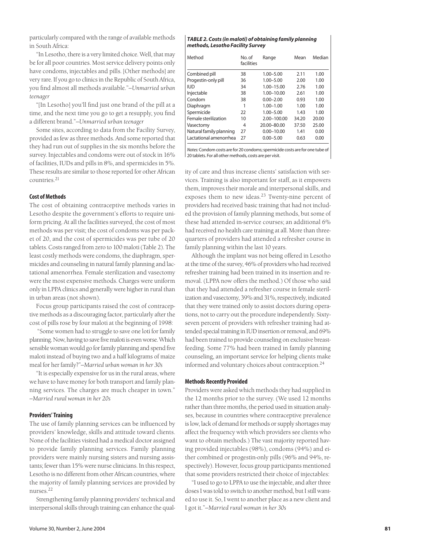particularly compared with the range of available methods in South Africa:

"In Lesotho, there is a very limited choice. Well, that may be for all poor countries. Most service delivery points only have condoms, injectables and pills. [Other methods] are very rare. If you go to clinics in the Republic of South Africa, you find almost all methods available."*—Unmarried urban teenager*

"[In Lesotho] you'll find just one brand of the pill at a time, and the next time you go to get a resupply, you find a different brand."*—Unmarried urban teenager*

Some sites, according to data from the Facility Survey, provided as few as three methods. And some reported that they had run out of supplies in the six months before the survey. Injectables and condoms were out of stock in 16% of facilities, IUDs and pills in 8%, and spermicides in 5%. These results are similar to those reported for other African countries.<sup>21</sup>

# **Cost of Methods**

The cost of obtaining contraceptive methods varies in Lesotho despite the government's efforts to require uniform pricing. At all the facilities surveyed, the cost of most methods was per visit; the cost of condoms was per packet of 20, and the cost of spermicides was per tube of 20 tablets. Costs ranged from zero to 100 maloti (Table 2). The least costly methods were condoms, the diaphragm, spermicides and counseling in natural family planning and lactational amenorrhea. Female sterilization and vasectomy were the most expensive methods. Charges were uniform only in LPPA clinics and generally were higher in rural than in urban areas (not shown).

Focus group participants raised the cost of contraceptive methods as a discouraging factor, particularly after the cost of pills rose by four maloti at the beginning of 1998:

"Some women had to struggle to save one loti for family planning. Now, having to save five maloti is even worse. Which sensible woman would go for family planning and spend five maloti instead of buying two and a half kilograms of maize meal for her family?"*—Married urban woman in her 30s*

"It is especially expensive for us in the rural areas, where we have to have money for both transport and family planning services. The charges are much cheaper in town." *—Married rural woman in her 20s*

## **Providers' Training**

The use of family planning services can be influenced by providers' knowledge, skills and attitude toward clients. None of the facilities visited had a medical doctor assigned to provide family planning services. Family planning providers were mainly nursing sisters and nursing assistants; fewer than 15% were nurse clinicians. In this respect, Lesotho is no different from other African countries, where the majority of family planning services are provided by nurses.22

Strengthening family planning providers' technical and interpersonal skills through training can enhance the qual-

#### *TABLE 2. Costs (in maloti) of obtaining family planning methods, Lesotho Facility Survey*

| No. of<br>facilities | Range          | Mean  | Median |
|----------------------|----------------|-------|--------|
| 38                   | $1.00 - 5.00$  | 2.11  | 1.00   |
| 36                   | $1.00 - 5.00$  | 2.00  | 1.00   |
| 34                   | 1.00-15.00     | 2.76  | 1.00   |
| 38                   | 1.00-10.00     | 2.61  | 1.00   |
| 38                   | $0.00 - 2.00$  | 0.93  | 1.00   |
|                      | $1.00 - 1.00$  | 1.00  | 1.00   |
| 22                   | $1.00 - 5.00$  | 1.43  | 1.00   |
| 10                   | 2.00-100.00    | 34.20 | 20.00  |
| 4                    | 20.00-80.00    | 37.50 | 25.00  |
| 27                   | $0.00 - 10.00$ | 1.41  | 0.00   |
| 27                   | $0.00 - 5.00$  | 0.63  | 0.00   |
|                      |                |       |        |

*Notes:* Condom costs are for 20 condoms; spermicide costs are for one tube of | 20 tablets. For all other methods, costs are per visit.

ity of care and thus increase clients' satisfaction with services. Training is also important for staff, as it empowers them, improves their morale and interpersonal skills, and exposes them to new ideas.<sup>23</sup> Twenty-nine percent of providers had received basic training that had not included the provision of family planning methods, but some of these had attended in-service courses; an additional 6% had received no health care training at all. More than threequarters of providers had attended a refresher course in family planning within the last 10 years.

Although the implant was not being offered in Lesotho at the time of the survey, 46% of providers who had received refresher training had been trained in its insertion and removal. (LPPA now offers the method.) Of those who said that they had attended a refresher course in female sterilization and vasectomy, 39% and 31%, respectively, indicated that they were trained only to assist doctors during operations, not to carry out the procedure independently. Sixtyseven percent of providers with refresher training had attended special training in IUD insertion or removal, and 69% had been trained to provide counseling on exclusive breastfeeding. Some 77% had been trained in family planning counseling, an important service for helping clients make informed and voluntary choices about contraception.24

## **Methods Recently Provided**

Providers were asked which methods they had supplied in the 12 months prior to the survey. (We used 12 months rather than three months, the period used in situation analyses, because in countries where contraceptive prevalence is low, lack of demand for methods or supply shortages may affect the frequency with which providers see clients who want to obtain methods.) The vast majority reported having provided injectables (98%), condoms (94%) and either combined or progestin-only pills (96% and 94%, respectively). However, focus group participants mentioned that some providers restricted their choice of injectables:

"I used to go to LPPA to use the injectable, and after three doses I was told to switch to another method, but I still wanted to use it. So, I went to another place as a new client and I got it."*—Married rural woman in her 30s*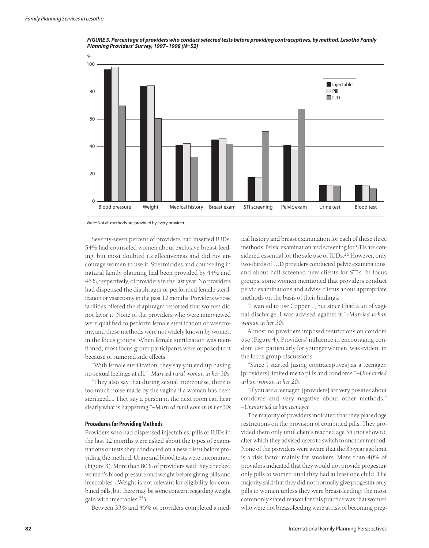

Seventy-seven percent of providers had inserted IUDs; 54% had counseled women about exclusive breast-feeding, but most doubted its effectiveness and did not encourage women to use it. Spermicides and counseling in natural family planning had been provided by 44% and 46%, respectively, of providers in the last year. No providers had dispensed the diaphragm or performed female sterilization or vasectomy in the past 12 months. Providers whose facilities offered the diaphragm reported that women did not favor it. None of the providers who were interviewed were qualified to perform female sterilization or vasectomy, and these methods were not widely known by women in the focus groups. When female sterilization was mentioned, most focus group participants were opposed to it because of rumored side effects:

"With female sterilization, they say you end up having no sexual feelings at all."*—Married rural woman in her 30s*

"They also say that during sexual intercourse, there is too much noise made by the vagina if a woman has been sterilized.… They say a person in the next room can hear clearly what is happening."*—Married rural woman in her 30s*

#### **Procedures for Providing Methods**

Providers who had dispensed injectables, pills or IUDs in the last 12 months were asked about the types of examinations or tests they conducted on a new client before providing the method. Urine and blood tests were uncommon (Figure 3). More than 80% of providers said they checked women's blood pressure and weight before giving pills and injectables. (Weight is not relevant for eligibility for combined pills, but there may be some concern regarding weight gain with injectables.25)

Between 33% and 45% of providers completed a med-

ical history and breast examination for each of these three methods. Pelvic examination and screening for STIs are considered essential for the safe use of IUDs.<sup>26</sup> However, only two-thirds of IUD providers conducted pelvic examinations, and about half screened new clients for STIs. In focus groups, some women mentioned that providers conduct pelvic examinations and advise clients about appropriate methods on the basis of their findings:

"I wanted to use Copper T, but since I had a lot of vaginal discharge, I was advised against it."*—Married urban woman in her 30s*

Almost no providers imposed restrictions on condom use (Figure 4). Providers' influence in encouraging condom use, particularly for younger women, was evident in the focus group discussions:

"Since I started [using contraceptives] as a teenager, [providers] limited me to pills and condoms."*—Unmarried urban woman in her 20s*

"If you are a teenager, [providers] are very positive about condoms and very negative about other methods." *—Unmarried urban teenager*

The majority of providers indicated that they placed age restrictions on the provision of combined pills. They provided them only until clients reached age 35 (not shown), after which they advised users to switch to another method. None of the providers were aware that the 35-year age limit is a risk factor mainly for smokers. More than 40% of providers indicated that they would not provide progestinonly pills to women until they had at least one child. The majority said that they did not normally give progestin-only pills to women unless they were breast-feeding; the most commonly stated reason for this practice was that women who were not breast-feeding were at risk of becoming preg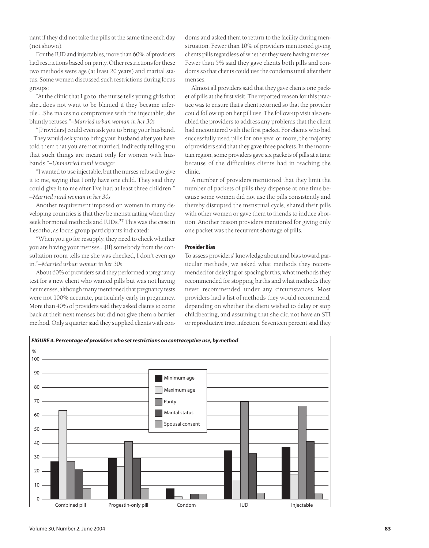nant if they did not take the pills at the same time each day (not shown).

For the IUD and injectables, more than 60% of providers had restrictions based on parity. Other restrictions for these two methods were age (at least 20 years) and marital status. Some women discussed such restrictions during focus groups:

"At the clinic that I go to, the nurse tells young girls that she…does not want to be blamed if they became infertile.…She makes no compromise with the injectable; she bluntly refuses."*—Married urban woman in her 30s*

"[Providers] could even ask you to bring your husband. …They would ask you to bring your husband after you have told them that you are not married, indirectly telling you that such things are meant only for women with husbands."*—Unmarried rural teenager*

"I wanted to use injectable, but the nurses refused to give it to me, saying that I only have one child. They said they could give it to me after I've had at least three children." *—Married rural woman in her 30s*

Another requirement imposed on women in many developing countries is that they be menstruating when they seek hormonal methods and IUDs.<sup>27</sup> This was the case in Lesotho, as focus group participants indicated:

"When you go for resupply, they need to check whether you are having your menses.…[If] somebody from the consultation room tells me she was checked, I don't even go in."*—Married urban woman in her 30s*

About 60% of providers said they performed a pregnancy test for a new client who wanted pills but was not having her menses, although many mentioned that pregnancy tests were not 100% accurate, particularly early in pregnancy. More than 40% of providers said they asked clients to come back at their next menses but did not give them a barrier method. Only a quarter said they supplied clients with condoms and asked them to return to the facility during menstruation. Fewer than 10% of providers mentioned giving clients pills regardless of whether they were having menses. Fewer than 5% said they gave clients both pills and condoms so that clients could use the condoms until after their menses.

Almost all providers said that they gave clients one packet of pills at the first visit. The reported reason for this practice was to ensure that a client returned so that the provider could follow up on her pill use. The follow-up visit also enabled the providers to address any problems that the client had encountered with the first packet. For clients who had successfully used pills for one year or more, the majority of providers said that they gave three packets. In the mountain region, some providers gave six packets of pills at a time because of the difficulties clients had in reaching the clinic.

A number of providers mentioned that they limit the number of packets of pills they dispense at one time because some women did not use the pills consistently and thereby disrupted the menstrual cycle, shared their pills with other women or gave them to friends to induce abortion. Another reason providers mentioned for giving only one packet was the recurrent shortage of pills.

#### **Provider Bias**

To assess providers' knowledge about and bias toward particular methods, we asked what methods they recommended for delaying or spacing births, what methods they recommended for stopping births and what methods they never recommended under any circumstances. Most providers had a list of methods they would recommend, depending on whether the client wished to delay or stop childbearing, and assuming that she did not have an STI or reproductive tract infection. Seventeen percent said they

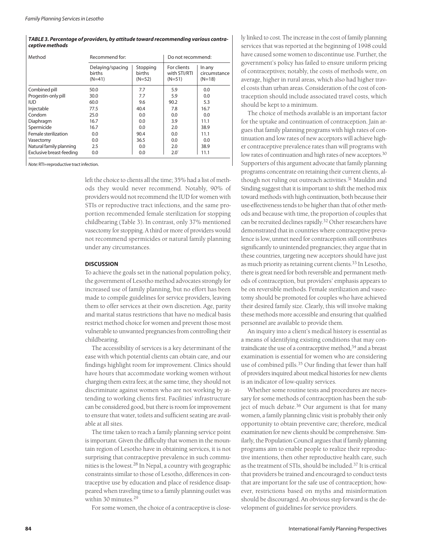#### *TABLE 3. Percentage of providers, by attitude toward recommending various contraceptive methods*

| Method                   | Recommend for:                         |                                | Do not recommend:                       |                                    |
|--------------------------|----------------------------------------|--------------------------------|-----------------------------------------|------------------------------------|
|                          | Delaying/spacing<br>births<br>$(N=41)$ | Stopping<br>births<br>$(N=52)$ | For clients<br>with STI/RTI<br>$(N=51)$ | In any<br>circumstance<br>$(N=18)$ |
| Combined pill            | 50.0                                   | 7.7                            | 5.9                                     | 0.0                                |
| Progestin-only pill      | 30.0                                   | 7.7                            | 5.9                                     | 0.0                                |
| <b>IUD</b>               | 60.0                                   | 9.6                            | 90.2                                    | 5.3                                |
| Injectable               | 77.5                                   | 40.4                           | 7.8                                     | 16.7                               |
| Condom                   | 25.0                                   | 0.0                            | 0.0                                     | 0.0                                |
| Diaphragm                | 16.7                                   | 0.0                            | 3.9                                     | 11.1                               |
| Spermicide               | 16.7                                   | 0.0                            | 2.0                                     | 38.9                               |
| Female sterilization     | 0.0                                    | 90.4                           | 0.0                                     | 11.1                               |
| Vasectomy                | 0.0                                    | 36.5                           | 0.0                                     | 0.0                                |
| Natural family planning  | 2.5                                    | 0.0                            | 2.0                                     | 38.9                               |
| Exclusive breast-feeding | 0.0                                    | 0.0                            | $2.0^{\circ}$                           | 11.1                               |

*Note:* RTI=reproductive tract infection.

left the choice to clients all the time; 35% had a list of methods they would never recommend. Notably, 90% of providers would not recommend the IUD for women with STIs or reproductive tract infections, and the same proportion recommended female sterilization for stopping childbearing (Table 3). In contrast, only 37% mentioned vasectomy for stopping. A third or more of providers would not recommend spermicides or natural family planning under any circumstances.

## **DISCUSSION**

To achieve the goals set in the national population policy, the government of Lesotho method advocates strongly for increased use of family planning, but no effort has been made to compile guidelines for service providers, leaving them to offer services at their own discretion. Age, parity and marital status restrictions that have no medical basis restrict method choice for women and prevent those most vulnerable to unwanted pregnancies from controlling their childbearing.

The accessibility of services is a key determinant of the ease with which potential clients can obtain care, and our findings highlight room for improvement. Clinics should have hours that accommodate working women without charging them extra fees; at the same time, they should not discriminate against women who are not working by attending to working clients first. Facilities' infrastructure can be considered good, but there is room for improvement to ensure that water, toilets and sufficient seating are available at all sites.

The time taken to reach a family planning service point is important. Given the difficulty that women in the mountain region of Lesotho have in obtaining services, it is not surprising that contraceptive prevalence in such communities is the lowest.<sup>28</sup> In Nepal, a country with geographic constraints similar to those of Lesotho, differences in contraceptive use by education and place of residence disappeared when traveling time to a family planning outlet was within 30 minutes.29

For some women, the choice of a contraceptive is close-

ly linked to cost. The increase in the cost of family planning services that was reported at the beginning of 1998 could have caused some women to discontinue use. Further, the government's policy has failed to ensure uniform pricing of contraceptives; notably, the costs of methods were, on average, higher in rural areas, which also had higher travel costs than urban areas. Consideration of the cost of contraception should include associated travel costs, which should be kept to a minimum.

The choice of methods available is an important factor for the uptake and continuation of contraception. Jain argues that family planning programs with high rates of continuation and low rates of new acceptors will achieve higher contraceptive prevalence rates than will programs with low rates of continuation and high rates of new acceptors.<sup>30</sup> Supporters of this argument advocate that family planning programs concentrate on retaining their current clients, although not ruling out outreach activities.<sup>31</sup> Mauldin and Sinding suggest that it is important to shift the method mix toward methods with high continuation, both because their use-effectiveness tends to be higher than that of other methods and because with time, the proportion of couples that can be recruited declines rapidly.32 Other researchers have demonstrated that in countries where contraceptive prevalence is low, unmet need for contraception still contributes significantly to unintended pregnancies; they argue that in these countries, targeting new acceptors should have just as much priority as retaining current clients.33 In Lesotho, there is great need for both reversible and permanent methods of contraception, but providers' emphasis appears to be on reversible methods. Female sterilization and vasectomy should be promoted for couples who have achieved their desired family size. Clearly, this will involve making these methods more accessible and ensuring that qualified personnel are available to provide them.

An inquiry into a client's medical history is essential as a means of identifying existing conditions that may contraindicate the use of a contraceptive method,<sup>34</sup> and a breast examination is essential for women who are considering use of combined pills.<sup>35</sup> Our finding that fewer than half of providers inquired about medical histories for new clients is an indicator of low-quality services.

Whether some routine tests and procedures are necessary for some methods of contraception has been the subject of much debate.<sup>36</sup> Our argument is that for many women, a family planning clinic visit is probably their only opportunity to obtain preventive care; therefore, medical examination for new clients should be comprehensive. Similarly, the Population Council argues that if family planning programs aim to enable people to realize their reproductive intentions, then other reproductive health care, such as the treatment of STIs, should be included.37 It is critical that providers be trained and encouraged to conduct tests that are important for the safe use of contraception; however, restrictions based on myths and misinformation should be discouraged. An obvious step forward is the development of guidelines for service providers.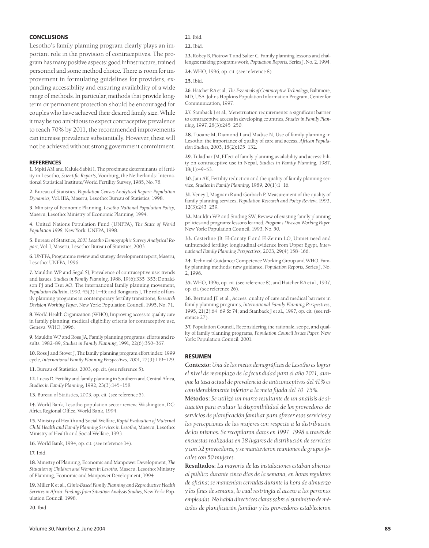## **CONCLUSIONS**

Lesotho's family planning program clearly plays an important role in the provision of contraceptives. The program has many positive aspects: good infrastructure, trained personnel and some method choice. There is room for improvement in formulating guidelines for providers, expanding accessibility and ensuring availability of a wide range of methods. In particular, methods that provide longterm or permanent protection should be encouraged for couples who have achieved their desired family size. While it may be too ambitious to expect contraceptive prevalence to reach 70% by 2011, the recommended improvements can increase prevalence substantially. However, these will not be achieved without strong government commitment.

#### **REFERENCES**

**1.** Mpiti AM and Kalule-Sabiti I, The proximate determinants of fertility in Lesotho, *Scientific Reports,* Voorburg, the Netherlands: International Statistical Institute/World Fertility Survey, 1985, No. 78.

**2.** Bureau of Statistics, *Population Census Analytical Report: Population Dynamics,* Vol. IIIA, Maseru, Lesotho: Bureau of Statistics, 1998.

**3.** Ministry of Economic Planning, *Lesotho National Population Policy,* Maseru, Lesotho: Ministry of Economic Planning, 1994.

**4.** United Nations Population Fund (UNFPA), *The State of World Population 1998*, New York: UNFPA, 1998.

**5.** Bureau of Statistics, *2001 Lesotho Demographic Survey Analytical Report,* Vol. I, Maseru, Lesotho: Bureau of Statistics, 2003.

**6.** UNFPA, Programme review and strategy development report, Maseru, Lesotho: UNFPA, 1996.

**7.** Mauldin WP and Segal SJ, Prevalence of contraceptive use: trends and issues, *Studies in Family Planning*, 1988, 19(6):335–353; Donaldson PJ and Tsui AO, The international family planning movement, *Population Bulletin*, 1990, 45(3):1–45; and Bongaarts J, The role of family planning programs in contemporary fertility transitions, *Research Division Working Paper,* New York: Population Council, 1995, No. 71.

**8.** World Health Organization (WHO), Improving access to quality care in family planning: medical eligibility criteria for contraceptive use, Geneva: WHO, 1996.

**9.** Mauldin WP and Ross JA, Family planning programs: efforts and results, 1982–89, *Studies in Family Planning*, 1991, 22(6):350–367.

**10.** Ross J and Stover J, The family planning program effort index: 1999 cycle, *International Family Planning Perspectives,* 2001, 27(3):119–129.

**11.** Bureau of Statistics, 2003, op. cit. (see reference 5).

**12.** Lucas D, Fertility and family planning in Southern and Central Africa, *Studies in Family Planning*, 1992, 23(3):145–158.

**13.** Bureau of Statistics, 2003, op. cit. (see reference 5).

**14.** World Bank, Lesotho population sector review, Washington, DC: Africa Regional Office, World Bank, 1994.

**15.** Ministry of Health and Social Welfare, *Rapid Evaluation of Maternal Child Health and Family Planning Services in Lesotho,* Maseru, Lesotho: Ministry of Health and Social Welfare, 1993.

**16.** World Bank, 1994, op. cit. (see reference 14).

**17.** Ibid.

**18.** Ministry of Planning, Economic and Manpower Development, *The Situation of Children and Women in Lesotho,* Maseru, Lesotho: Ministry of Planning, Economic and Manpower Development, 1994.

**19.** Miller K et al., *Clinic-Based Family Planning and Reproductive Health Services in Africa: Findings from Situation Analysis Studies*, New York: Population Council, 1998.

**20.** Ibid.

**22.** Ibid.

**23.** Robey B, Piotrow T and Salter C, Family planning lessons and challenges: making programs work, *Population Reports,* Series J, No. 2, 1994.

**24.** WHO, 1996, op. cit. (see reference 8).

**25.** Ibid.

**26.** Hatcher RA et al., *The Essentials of Contraceptive Technology,* Baltimore, MD, USA: Johns Hopkins Population Information Program, Center for Communication, 1997.

**27.** Stanback J et al., Menstruation requirements: a significant barrier to contraceptive access in developing countries, *Studies in Family Planning*, 1997, 28(3):245–250.

**28.** Tuoane M, Diamond I and Madise N, Use of family planning in Lesotho: the importance of quality of care and access, *African Population Studies,* 2003, 18(2):105–132.

**29.** Tuladhar JM, Effect of family planning availability and accessibility on contraceptive use in Nepal, *Studies in Family Planning*, 1987, 18(1):49–53.

**30.** Jain AK, Fertility reduction and the quality of family planning service, *Studies in Family Planning*, 1989, 20(1):1–16.

**31.** Veney J, Magnani R and Gorbach P, Measurement of the quality of family planning services, *Population Research and Policy Review*, 1993, 12(3):243–259.

**32.** Mauldin WP and Sinding SW, Review of existing family planning policies and programs: lessons learned, *Programs Division Working Paper,* New York: Population Council, 1993, No. 50.

**33.** Casterline JB, El-Canaty F and El-Zeinin LO, Unmet need and unintended fertility: longitudinal evidence from Upper Egypt, *International Family Planning Perspectives,* 2003, 29(4):158–166.

**24.** Technical Guidance/Competence Working Group and WHO, Family planning methods: new guidance, *Population Reports*, Series J, No. 2, 1996.

**35.** WHO, 1996, op. cit. (see reference 8); and Hatcher RA et al., 1997, op. cit. (see reference 26).

**36.** Bertrand JT et al., Access, quality of care and medical barriers in family planning programs, *International Family Planning Perspectives*, 1995, 21(2):64–69 & 74; and Stanback J et al., 1997, op. cit. (see reference 27).

**37.** Population Council, Reconsidering the rationale, scope, and quality of family planning programs, *Population Council Issues Paper*, New York: Population Council, 2001.

#### **RESUMEN**

**Contexto:** *Una de las metas demográficas de Lesotho es lograr el nivel de reemplazo de la fecundidad para el año 2011, aunque la tasa actual de prevalencia de anticonceptivos del 41% es considerablemente inferior a la meta fijada del 70–75%.*

**Métodos:** *Se utilizó un marco resultante de un análisis de situación para evaluar la disponibilidad de los proveedores de servicios de planificación familiar para ofrecer esos servicios y las percepciones de las mujeres con respecto a la distribución de los mismos. Se recopilaron datos en 1997–1998 a través de encuestas realizadas en 38 lugares de distribución de servicios y con 52 proveedores, y se mantuvieron reuniones de grupos focales con 50 mujeres.*

**Resultados:** *La mayoría de las instalaciones estaban abiertas al público durante cinco días de la semana, en horas regulares de oficina; se mantenían cerradas durante la hora de almuerzo y los fines de semana, lo cual restringía el acceso a las personas empleadas. No había directrices claras sobre el suministro de métodos de planificación familiar y los proveedores establecieron*